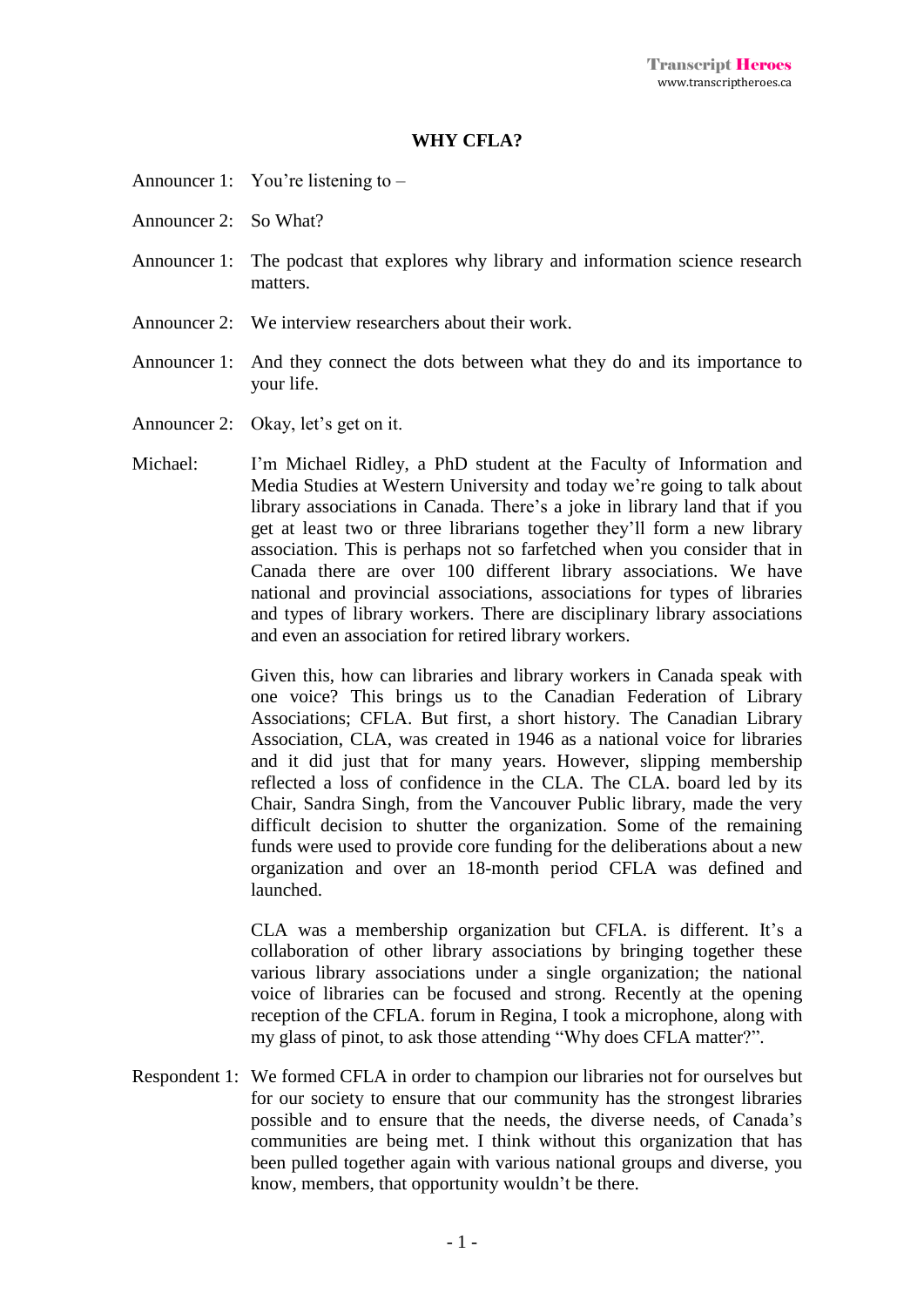## **WHY CFLA?**

- Announcer 1: You're listening to –
- Announcer 2: So What?
- Announcer 1: The podcast that explores why library and information science research matters.
- Announcer 2: We interview researchers about their work.
- Announcer 1: And they connect the dots between what they do and its importance to your life.
- Announcer 2: Okay, let's get on it.
- Michael: I'm Michael Ridley, a PhD student at the Faculty of Information and Media Studies at Western University and today we're going to talk about library associations in Canada. There's a joke in library land that if you get at least two or three librarians together they'll form a new library association. This is perhaps not so farfetched when you consider that in Canada there are over 100 different library associations. We have national and provincial associations, associations for types of libraries and types of library workers. There are disciplinary library associations and even an association for retired library workers.

Given this, how can libraries and library workers in Canada speak with one voice? This brings us to the Canadian Federation of Library Associations; CFLA. But first, a short history. The Canadian Library Association, CLA, was created in 1946 as a national voice for libraries and it did just that for many years. However, slipping membership reflected a loss of confidence in the CLA. The CLA. board led by its Chair, Sandra Singh, from the Vancouver Public library, made the very difficult decision to shutter the organization. Some of the remaining funds were used to provide core funding for the deliberations about a new organization and over an 18-month period CFLA was defined and launched.

CLA was a membership organization but CFLA. is different. It's a collaboration of other library associations by bringing together these various library associations under a single organization; the national voice of libraries can be focused and strong. Recently at the opening reception of the CFLA. forum in Regina, I took a microphone, along with my glass of pinot, to ask those attending "Why does CFLA matter?".

Respondent 1: We formed CFLA in order to champion our libraries not for ourselves but for our society to ensure that our community has the strongest libraries possible and to ensure that the needs, the diverse needs, of Canada's communities are being met. I think without this organization that has been pulled together again with various national groups and diverse, you know, members, that opportunity wouldn't be there.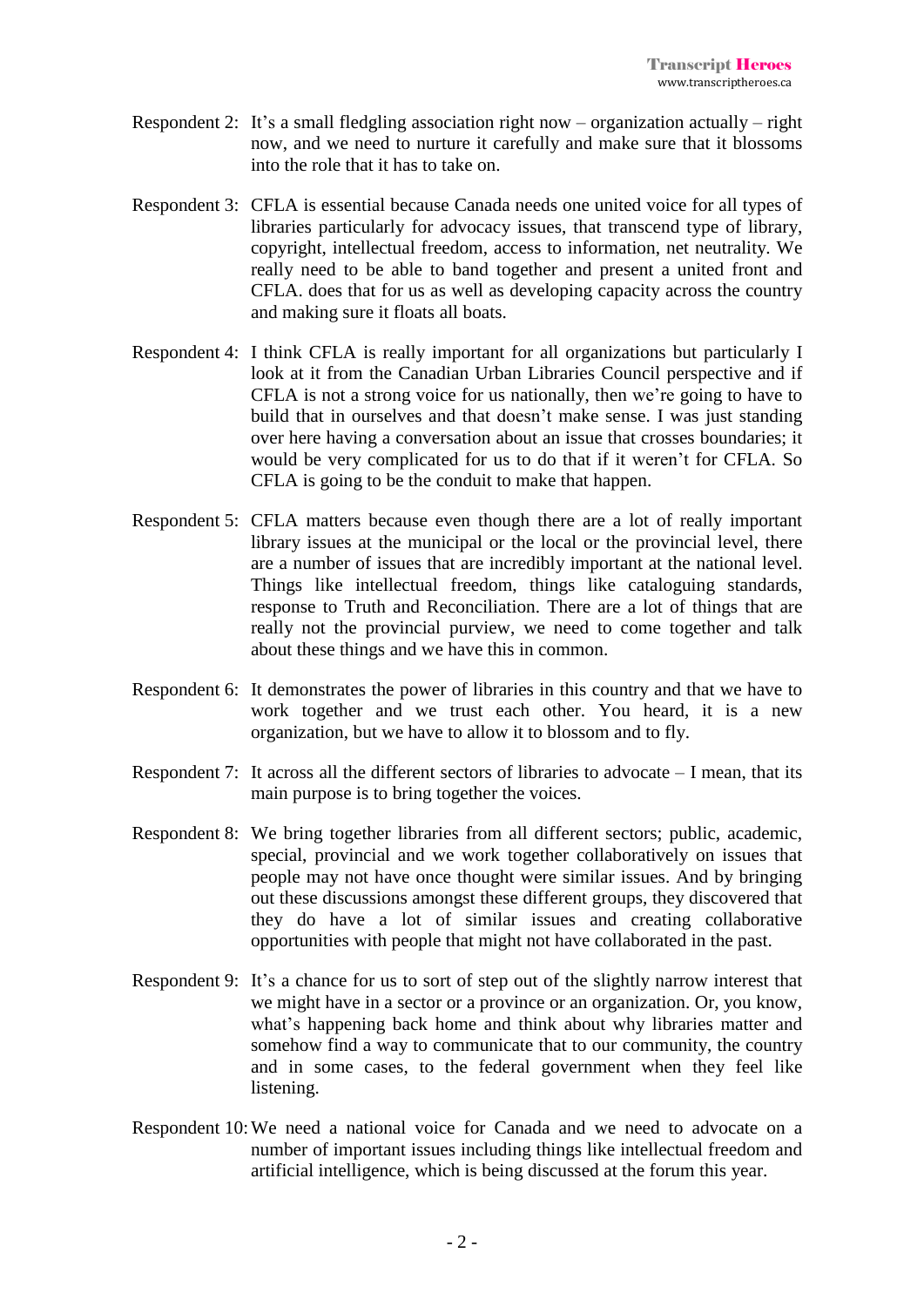- Respondent 2: It's a small fledgling association right now organization actually right now, and we need to nurture it carefully and make sure that it blossoms into the role that it has to take on.
- Respondent 3: CFLA is essential because Canada needs one united voice for all types of libraries particularly for advocacy issues, that transcend type of library, copyright, intellectual freedom, access to information, net neutrality. We really need to be able to band together and present a united front and CFLA. does that for us as well as developing capacity across the country and making sure it floats all boats.
- Respondent 4: I think CFLA is really important for all organizations but particularly I look at it from the Canadian Urban Libraries Council perspective and if CFLA is not a strong voice for us nationally, then we're going to have to build that in ourselves and that doesn't make sense. I was just standing over here having a conversation about an issue that crosses boundaries; it would be very complicated for us to do that if it weren't for CFLA. So CFLA is going to be the conduit to make that happen.
- Respondent 5: CFLA matters because even though there are a lot of really important library issues at the municipal or the local or the provincial level, there are a number of issues that are incredibly important at the national level. Things like intellectual freedom, things like cataloguing standards, response to Truth and Reconciliation. There are a lot of things that are really not the provincial purview, we need to come together and talk about these things and we have this in common.
- Respondent 6: It demonstrates the power of libraries in this country and that we have to work together and we trust each other. You heard, it is a new organization, but we have to allow it to blossom and to fly.
- Respondent 7: It across all the different sectors of libraries to advocate I mean, that its main purpose is to bring together the voices.
- Respondent 8: We bring together libraries from all different sectors; public, academic, special, provincial and we work together collaboratively on issues that people may not have once thought were similar issues. And by bringing out these discussions amongst these different groups, they discovered that they do have a lot of similar issues and creating collaborative opportunities with people that might not have collaborated in the past.
- Respondent 9: It's a chance for us to sort of step out of the slightly narrow interest that we might have in a sector or a province or an organization. Or, you know, what's happening back home and think about why libraries matter and somehow find a way to communicate that to our community, the country and in some cases, to the federal government when they feel like listening.
- Respondent 10:We need a national voice for Canada and we need to advocate on a number of important issues including things like intellectual freedom and artificial intelligence, which is being discussed at the forum this year.